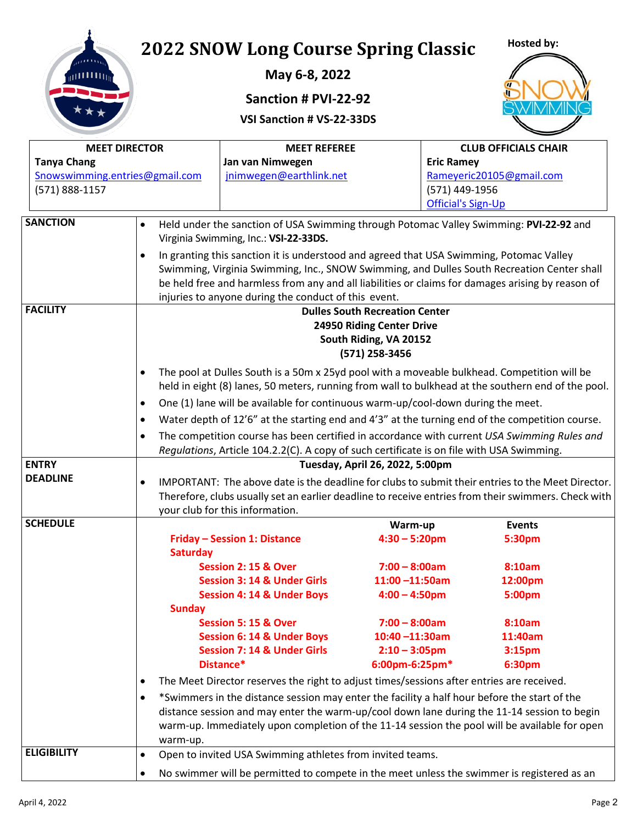



|           | <b>MEET DIRECTOR</b>           |                                                                                            | <b>MEET REFEREE</b>                                                                                                                                                                             |                                                                                                     | <b>CLUB OFFICIALS CHAIR</b>                                                                  |  |
|-----------|--------------------------------|--------------------------------------------------------------------------------------------|-------------------------------------------------------------------------------------------------------------------------------------------------------------------------------------------------|-----------------------------------------------------------------------------------------------------|----------------------------------------------------------------------------------------------|--|
|           | <b>Tanya Chang</b>             |                                                                                            | Jan van Nimwegen                                                                                                                                                                                |                                                                                                     | <b>Eric Ramey</b>                                                                            |  |
|           | Snowswimming.entries@gmail.com |                                                                                            | jnimwegen@earthlink.net                                                                                                                                                                         |                                                                                                     | Rameyeric20105@gmail.com                                                                     |  |
|           | (571) 888-1157                 |                                                                                            |                                                                                                                                                                                                 |                                                                                                     | (571) 449-1956                                                                               |  |
|           |                                |                                                                                            |                                                                                                                                                                                                 |                                                                                                     | <b>Official's Sign-Up</b>                                                                    |  |
|           | <b>SANCTION</b>                | $\bullet$                                                                                  |                                                                                                                                                                                                 |                                                                                                     | Held under the sanction of USA Swimming through Potomac Valley Swimming: PVI-22-92 and       |  |
|           |                                |                                                                                            | Virginia Swimming, Inc.: VSI-22-33DS.                                                                                                                                                           |                                                                                                     |                                                                                              |  |
|           |                                | $\bullet$                                                                                  | In granting this sanction it is understood and agreed that USA Swimming, Potomac Valley                                                                                                         |                                                                                                     |                                                                                              |  |
|           |                                |                                                                                            | Swimming, Virginia Swimming, Inc., SNOW Swimming, and Dulles South Recreation Center shall<br>be held free and harmless from any and all liabilities or claims for damages arising by reason of |                                                                                                     |                                                                                              |  |
|           |                                |                                                                                            | injuries to anyone during the conduct of this event.                                                                                                                                            |                                                                                                     |                                                                                              |  |
|           | <b>FACILITY</b>                |                                                                                            |                                                                                                                                                                                                 | <b>Dulles South Recreation Center</b>                                                               |                                                                                              |  |
|           |                                |                                                                                            |                                                                                                                                                                                                 | 24950 Riding Center Drive                                                                           |                                                                                              |  |
|           |                                |                                                                                            |                                                                                                                                                                                                 | South Riding, VA 20152                                                                              |                                                                                              |  |
|           |                                |                                                                                            |                                                                                                                                                                                                 | (571) 258-3456                                                                                      |                                                                                              |  |
|           |                                | $\bullet$                                                                                  |                                                                                                                                                                                                 |                                                                                                     | The pool at Dulles South is a 50m x 25yd pool with a moveable bulkhead. Competition will be  |  |
|           |                                |                                                                                            | held in eight (8) lanes, 50 meters, running from wall to bulkhead at the southern end of the pool.                                                                                              |                                                                                                     |                                                                                              |  |
|           |                                | $\bullet$                                                                                  | One (1) lane will be available for continuous warm-up/cool-down during the meet.                                                                                                                |                                                                                                     |                                                                                              |  |
|           |                                | $\bullet$                                                                                  | Water depth of 12'6" at the starting end and 4'3" at the turning end of the competition course.                                                                                                 |                                                                                                     |                                                                                              |  |
|           |                                | $\bullet$                                                                                  |                                                                                                                                                                                                 |                                                                                                     | The competition course has been certified in accordance with current USA Swimming Rules and  |  |
|           |                                |                                                                                            |                                                                                                                                                                                                 |                                                                                                     | Regulations, Article 104.2.2(C). A copy of such certificate is on file with USA Swimming.    |  |
|           | <b>ENTRY</b>                   |                                                                                            |                                                                                                                                                                                                 | Tuesday, April 26, 2022, 5:00pm                                                                     |                                                                                              |  |
|           | <b>DEADLINE</b><br>$\bullet$   |                                                                                            | IMPORTANT: The above date is the deadline for clubs to submit their entries to the Meet Director.                                                                                               |                                                                                                     |                                                                                              |  |
|           |                                |                                                                                            |                                                                                                                                                                                                 | Therefore, clubs usually set an earlier deadline to receive entries from their swimmers. Check with |                                                                                              |  |
|           |                                |                                                                                            | your club for this information.                                                                                                                                                                 |                                                                                                     |                                                                                              |  |
|           | <b>SCHEDULE</b>                |                                                                                            |                                                                                                                                                                                                 | Warm-up                                                                                             | <b>Events</b>                                                                                |  |
|           |                                | <b>Saturday</b>                                                                            | <b>Friday - Session 1: Distance</b>                                                                                                                                                             | $4:30 - 5:20$ pm                                                                                    | 5:30pm                                                                                       |  |
|           |                                |                                                                                            | Session 2: 15 & Over                                                                                                                                                                            | $7:00 - 8:00am$                                                                                     | 8:10am                                                                                       |  |
|           |                                |                                                                                            | <b>Session 3: 14 &amp; Under Girls</b>                                                                                                                                                          | $11:00 - 11:50$ am                                                                                  | 12:00pm                                                                                      |  |
|           |                                |                                                                                            | <b>Session 4: 14 &amp; Under Boys</b>                                                                                                                                                           | $4:00 - 4:50$ pm                                                                                    | 5:00pm                                                                                       |  |
|           |                                | <b>Sunday</b>                                                                              |                                                                                                                                                                                                 |                                                                                                     |                                                                                              |  |
|           |                                |                                                                                            | Session 5: 15 & Over                                                                                                                                                                            | $7:00 - 8:00am$                                                                                     | 8:10am                                                                                       |  |
|           |                                |                                                                                            | <b>Session 6: 14 &amp; Under Boys</b>                                                                                                                                                           | $10:40 - 11:30$ am                                                                                  | 11:40am                                                                                      |  |
|           |                                |                                                                                            | <b>Session 7: 14 &amp; Under Girls</b>                                                                                                                                                          | $2:10 - 3:05$ pm                                                                                    | 3:15pm                                                                                       |  |
|           |                                |                                                                                            | Distance*                                                                                                                                                                                       | 6:00pm-6:25pm*                                                                                      | 6:30pm                                                                                       |  |
|           |                                | $\bullet$                                                                                  |                                                                                                                                                                                                 |                                                                                                     | The Meet Director reserves the right to adjust times/sessions after entries are received.    |  |
|           |                                | $\bullet$                                                                                  |                                                                                                                                                                                                 |                                                                                                     | *Swimmers in the distance session may enter the facility a half hour before the start of the |  |
|           |                                |                                                                                            |                                                                                                                                                                                                 |                                                                                                     | distance session and may enter the warm-up/cool down lane during the 11-14 session to begin  |  |
|           |                                |                                                                                            |                                                                                                                                                                                                 | warm-up. Immediately upon completion of the 11-14 session the pool will be available for open       |                                                                                              |  |
|           | <b>ELIGIBILITY</b>             | warm-up.<br>$\bullet$                                                                      | Open to invited USA Swimming athletes from invited teams.                                                                                                                                       |                                                                                                     |                                                                                              |  |
|           |                                |                                                                                            |                                                                                                                                                                                                 |                                                                                                     |                                                                                              |  |
| $\bullet$ |                                | No swimmer will be permitted to compete in the meet unless the swimmer is registered as an |                                                                                                                                                                                                 |                                                                                                     |                                                                                              |  |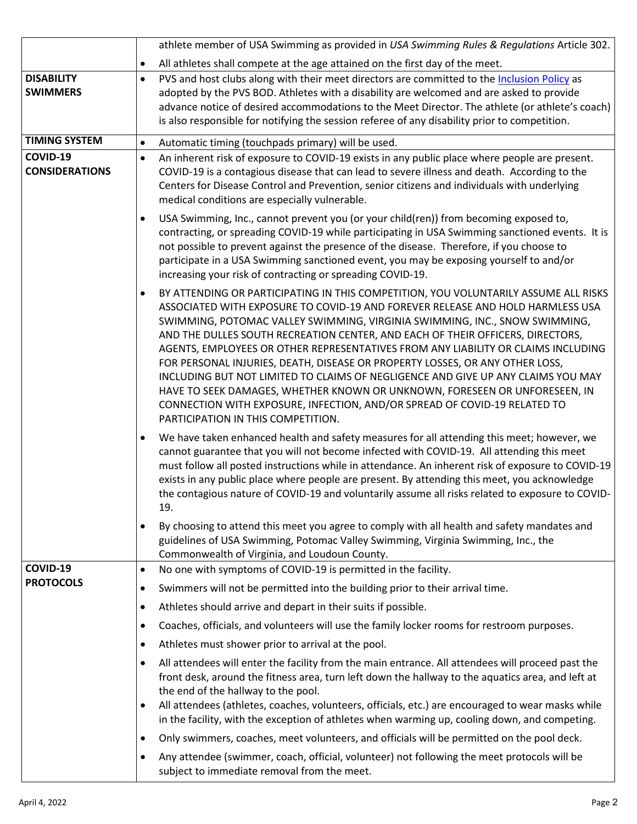|                                      | athlete member of USA Swimming as provided in USA Swimming Rules & Regulations Article 302.                                                                                                                                                                                                                                                                                                                                                                                                                                                                                                                                                                                                                                                                                                                  |  |
|--------------------------------------|--------------------------------------------------------------------------------------------------------------------------------------------------------------------------------------------------------------------------------------------------------------------------------------------------------------------------------------------------------------------------------------------------------------------------------------------------------------------------------------------------------------------------------------------------------------------------------------------------------------------------------------------------------------------------------------------------------------------------------------------------------------------------------------------------------------|--|
|                                      | All athletes shall compete at the age attained on the first day of the meet.<br>$\bullet$                                                                                                                                                                                                                                                                                                                                                                                                                                                                                                                                                                                                                                                                                                                    |  |
| <b>DISABILITY</b><br><b>SWIMMERS</b> | PVS and host clubs along with their meet directors are committed to the Inclusion Policy as<br>$\bullet$<br>adopted by the PVS BOD. Athletes with a disability are welcomed and are asked to provide<br>advance notice of desired accommodations to the Meet Director. The athlete (or athlete's coach)<br>is also responsible for notifying the session referee of any disability prior to competition.                                                                                                                                                                                                                                                                                                                                                                                                     |  |
| <b>TIMING SYSTEM</b>                 | Automatic timing (touchpads primary) will be used.<br>$\bullet$                                                                                                                                                                                                                                                                                                                                                                                                                                                                                                                                                                                                                                                                                                                                              |  |
| COVID-19<br><b>CONSIDERATIONS</b>    | An inherent risk of exposure to COVID-19 exists in any public place where people are present.<br>$\bullet$<br>COVID-19 is a contagious disease that can lead to severe illness and death. According to the<br>Centers for Disease Control and Prevention, senior citizens and individuals with underlying<br>medical conditions are especially vulnerable.                                                                                                                                                                                                                                                                                                                                                                                                                                                   |  |
|                                      | USA Swimming, Inc., cannot prevent you (or your child(ren)) from becoming exposed to,<br>$\bullet$<br>contracting, or spreading COVID-19 while participating in USA Swimming sanctioned events. It is<br>not possible to prevent against the presence of the disease. Therefore, if you choose to<br>participate in a USA Swimming sanctioned event, you may be exposing yourself to and/or<br>increasing your risk of contracting or spreading COVID-19.                                                                                                                                                                                                                                                                                                                                                    |  |
|                                      | BY ATTENDING OR PARTICIPATING IN THIS COMPETITION, YOU VOLUNTARILY ASSUME ALL RISKS<br>$\bullet$<br>ASSOCIATED WITH EXPOSURE TO COVID-19 AND FOREVER RELEASE AND HOLD HARMLESS USA<br>SWIMMING, POTOMAC VALLEY SWIMMING, VIRGINIA SWIMMING, INC., SNOW SWIMMING,<br>AND THE DULLES SOUTH RECREATION CENTER, AND EACH OF THEIR OFFICERS, DIRECTORS,<br>AGENTS, EMPLOYEES OR OTHER REPRESENTATIVES FROM ANY LIABILITY OR CLAIMS INCLUDING<br>FOR PERSONAL INJURIES, DEATH, DISEASE OR PROPERTY LOSSES, OR ANY OTHER LOSS,<br>INCLUDING BUT NOT LIMITED TO CLAIMS OF NEGLIGENCE AND GIVE UP ANY CLAIMS YOU MAY<br>HAVE TO SEEK DAMAGES, WHETHER KNOWN OR UNKNOWN, FORESEEN OR UNFORESEEN, IN<br>CONNECTION WITH EXPOSURE, INFECTION, AND/OR SPREAD OF COVID-19 RELATED TO<br>PARTICIPATION IN THIS COMPETITION. |  |
|                                      | We have taken enhanced health and safety measures for all attending this meet; however, we<br>$\bullet$<br>cannot guarantee that you will not become infected with COVID-19. All attending this meet<br>must follow all posted instructions while in attendance. An inherent risk of exposure to COVID-19<br>exists in any public place where people are present. By attending this meet, you acknowledge<br>the contagious nature of COVID-19 and voluntarily assume all risks related to exposure to COVID-<br>19.                                                                                                                                                                                                                                                                                         |  |
|                                      | By choosing to attend this meet you agree to comply with all health and safety mandates and<br>$\bullet$<br>guidelines of USA Swimming, Potomac Valley Swimming, Virginia Swimming, Inc., the<br>Commonwealth of Virginia, and Loudoun County.                                                                                                                                                                                                                                                                                                                                                                                                                                                                                                                                                               |  |
| COVID-19                             | No one with symptoms of COVID-19 is permitted in the facility.<br>$\bullet$                                                                                                                                                                                                                                                                                                                                                                                                                                                                                                                                                                                                                                                                                                                                  |  |
| <b>PROTOCOLS</b>                     | Swimmers will not be permitted into the building prior to their arrival time.<br>$\bullet$                                                                                                                                                                                                                                                                                                                                                                                                                                                                                                                                                                                                                                                                                                                   |  |
|                                      | Athletes should arrive and depart in their suits if possible.<br>$\bullet$                                                                                                                                                                                                                                                                                                                                                                                                                                                                                                                                                                                                                                                                                                                                   |  |
|                                      | Coaches, officials, and volunteers will use the family locker rooms for restroom purposes.<br>$\bullet$                                                                                                                                                                                                                                                                                                                                                                                                                                                                                                                                                                                                                                                                                                      |  |
|                                      | Athletes must shower prior to arrival at the pool.<br>$\bullet$                                                                                                                                                                                                                                                                                                                                                                                                                                                                                                                                                                                                                                                                                                                                              |  |
|                                      | All attendees will enter the facility from the main entrance. All attendees will proceed past the<br>$\bullet$<br>front desk, around the fitness area, turn left down the hallway to the aquatics area, and left at<br>the end of the hallway to the pool.<br>All attendees (athletes, coaches, volunteers, officials, etc.) are encouraged to wear masks while<br>$\bullet$                                                                                                                                                                                                                                                                                                                                                                                                                                 |  |
|                                      | in the facility, with the exception of athletes when warming up, cooling down, and competing.                                                                                                                                                                                                                                                                                                                                                                                                                                                                                                                                                                                                                                                                                                                |  |
|                                      | Only swimmers, coaches, meet volunteers, and officials will be permitted on the pool deck.<br>$\bullet$                                                                                                                                                                                                                                                                                                                                                                                                                                                                                                                                                                                                                                                                                                      |  |
|                                      | Any attendee (swimmer, coach, official, volunteer) not following the meet protocols will be<br>$\bullet$<br>subject to immediate removal from the meet.                                                                                                                                                                                                                                                                                                                                                                                                                                                                                                                                                                                                                                                      |  |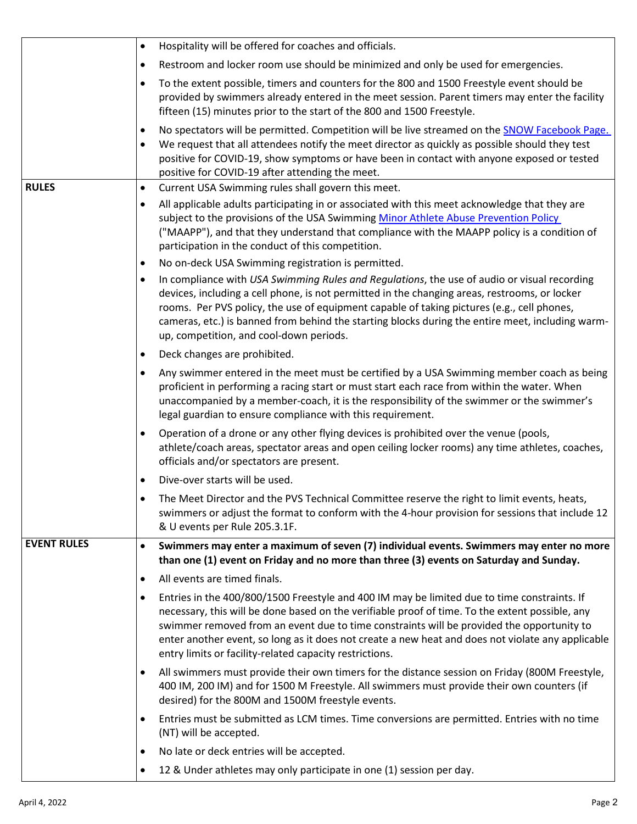|                    | Hospitality will be offered for coaches and officials.<br>$\bullet$                                                                                                                                                                                                                                                                                                                                                                                                      |
|--------------------|--------------------------------------------------------------------------------------------------------------------------------------------------------------------------------------------------------------------------------------------------------------------------------------------------------------------------------------------------------------------------------------------------------------------------------------------------------------------------|
|                    | Restroom and locker room use should be minimized and only be used for emergencies.<br>$\bullet$                                                                                                                                                                                                                                                                                                                                                                          |
|                    | To the extent possible, timers and counters for the 800 and 1500 Freestyle event should be<br>$\bullet$<br>provided by swimmers already entered in the meet session. Parent timers may enter the facility<br>fifteen (15) minutes prior to the start of the 800 and 1500 Freestyle.                                                                                                                                                                                      |
|                    | No spectators will be permitted. Competition will be live streamed on the SNOW Facebook Page.<br>$\bullet$<br>We request that all attendees notify the meet director as quickly as possible should they test<br>$\bullet$<br>positive for COVID-19, show symptoms or have been in contact with anyone exposed or tested<br>positive for COVID-19 after attending the meet.                                                                                               |
| <b>RULES</b>       | Current USA Swimming rules shall govern this meet.<br>$\bullet$                                                                                                                                                                                                                                                                                                                                                                                                          |
|                    | All applicable adults participating in or associated with this meet acknowledge that they are<br>$\bullet$<br>subject to the provisions of the USA Swimming Minor Athlete Abuse Prevention Policy<br>("MAAPP"), and that they understand that compliance with the MAAPP policy is a condition of<br>participation in the conduct of this competition.                                                                                                                    |
|                    | No on-deck USA Swimming registration is permitted.<br>$\bullet$                                                                                                                                                                                                                                                                                                                                                                                                          |
|                    | In compliance with USA Swimming Rules and Regulations, the use of audio or visual recording<br>$\bullet$<br>devices, including a cell phone, is not permitted in the changing areas, restrooms, or locker<br>rooms. Per PVS policy, the use of equipment capable of taking pictures (e.g., cell phones,<br>cameras, etc.) is banned from behind the starting blocks during the entire meet, including warm-<br>up, competition, and cool-down periods.                   |
|                    | Deck changes are prohibited.<br>٠                                                                                                                                                                                                                                                                                                                                                                                                                                        |
|                    | Any swimmer entered in the meet must be certified by a USA Swimming member coach as being<br>proficient in performing a racing start or must start each race from within the water. When<br>unaccompanied by a member-coach, it is the responsibility of the swimmer or the swimmer's<br>legal guardian to ensure compliance with this requirement.                                                                                                                      |
|                    | Operation of a drone or any other flying devices is prohibited over the venue (pools,<br>$\bullet$<br>athlete/coach areas, spectator areas and open ceiling locker rooms) any time athletes, coaches,<br>officials and/or spectators are present.                                                                                                                                                                                                                        |
|                    | Dive-over starts will be used.<br>$\bullet$                                                                                                                                                                                                                                                                                                                                                                                                                              |
|                    | The Meet Director and the PVS Technical Committee reserve the right to limit events, heats,<br>swimmers or adjust the format to conform with the 4-hour provision for sessions that include 12<br>& U events per Rule 205.3.1F.                                                                                                                                                                                                                                          |
| <b>EVENT RULES</b> | Swimmers may enter a maximum of seven (7) individual events. Swimmers may enter no more<br>$\bullet$<br>than one (1) event on Friday and no more than three (3) events on Saturday and Sunday.                                                                                                                                                                                                                                                                           |
|                    | All events are timed finals.<br>$\bullet$                                                                                                                                                                                                                                                                                                                                                                                                                                |
|                    | Entries in the 400/800/1500 Freestyle and 400 IM may be limited due to time constraints. If<br>$\bullet$<br>necessary, this will be done based on the verifiable proof of time. To the extent possible, any<br>swimmer removed from an event due to time constraints will be provided the opportunity to<br>enter another event, so long as it does not create a new heat and does not violate any applicable<br>entry limits or facility-related capacity restrictions. |
|                    | All swimmers must provide their own timers for the distance session on Friday (800M Freestyle,<br>$\bullet$<br>400 IM, 200 IM) and for 1500 M Freestyle. All swimmers must provide their own counters (if<br>desired) for the 800M and 1500M freestyle events.                                                                                                                                                                                                           |
|                    | Entries must be submitted as LCM times. Time conversions are permitted. Entries with no time<br>$\bullet$<br>(NT) will be accepted.                                                                                                                                                                                                                                                                                                                                      |
|                    | No late or deck entries will be accepted.<br>$\bullet$                                                                                                                                                                                                                                                                                                                                                                                                                   |
|                    | 12 & Under athletes may only participate in one (1) session per day.                                                                                                                                                                                                                                                                                                                                                                                                     |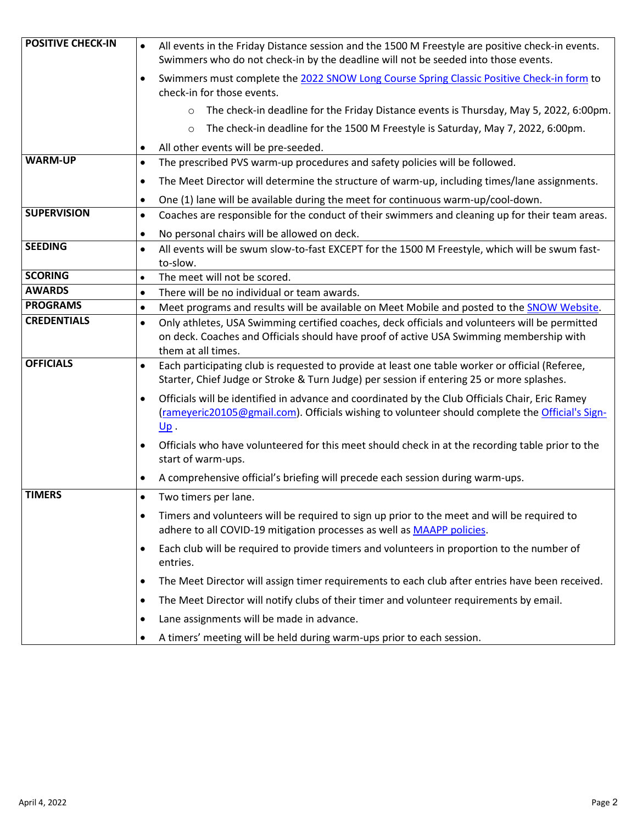| <b>POSITIVE CHECK-IN</b>                                                                               | All events in the Friday Distance session and the 1500 M Freestyle are positive check-in events.<br>$\bullet$<br>Swimmers who do not check-in by the deadline will not be seeded into those events.                          |
|--------------------------------------------------------------------------------------------------------|------------------------------------------------------------------------------------------------------------------------------------------------------------------------------------------------------------------------------|
| Swimmers must complete the 2022 SNOW Long Course Spring Classic Positive Check-in form to<br>$\bullet$ |                                                                                                                                                                                                                              |
|                                                                                                        | check-in for those events.                                                                                                                                                                                                   |
|                                                                                                        | The check-in deadline for the Friday Distance events is Thursday, May 5, 2022, 6:00pm.<br>$\circ$                                                                                                                            |
|                                                                                                        | The check-in deadline for the 1500 M Freestyle is Saturday, May 7, 2022, 6:00pm.<br>$\circ$                                                                                                                                  |
|                                                                                                        | All other events will be pre-seeded.<br>$\bullet$                                                                                                                                                                            |
| <b>WARM-UP</b>                                                                                         | The prescribed PVS warm-up procedures and safety policies will be followed.<br>$\bullet$                                                                                                                                     |
|                                                                                                        | The Meet Director will determine the structure of warm-up, including times/lane assignments.<br>$\bullet$                                                                                                                    |
|                                                                                                        | One (1) lane will be available during the meet for continuous warm-up/cool-down.<br>$\bullet$                                                                                                                                |
| <b>SUPERVISION</b>                                                                                     | Coaches are responsible for the conduct of their swimmers and cleaning up for their team areas.<br>$\bullet$                                                                                                                 |
|                                                                                                        | No personal chairs will be allowed on deck.<br>$\bullet$                                                                                                                                                                     |
| <b>SEEDING</b>                                                                                         | All events will be swum slow-to-fast EXCEPT for the 1500 M Freestyle, which will be swum fast-<br>$\bullet$<br>to-slow.                                                                                                      |
| <b>SCORING</b>                                                                                         | The meet will not be scored.<br>$\bullet$                                                                                                                                                                                    |
| <b>AWARDS</b>                                                                                          | There will be no individual or team awards.<br>$\bullet$                                                                                                                                                                     |
| <b>PROGRAMS</b>                                                                                        | Meet programs and results will be available on Meet Mobile and posted to the SNOW Website.<br>$\bullet$                                                                                                                      |
| <b>CREDENTIALS</b>                                                                                     | Only athletes, USA Swimming certified coaches, deck officials and volunteers will be permitted<br>$\bullet$<br>on deck. Coaches and Officials should have proof of active USA Swimming membership with<br>them at all times. |
| <b>OFFICIALS</b>                                                                                       | Each participating club is requested to provide at least one table worker or official (Referee,<br>$\bullet$<br>Starter, Chief Judge or Stroke & Turn Judge) per session if entering 25 or more splashes.                    |
|                                                                                                        | Officials will be identified in advance and coordinated by the Club Officials Chair, Eric Ramey<br>$\bullet$<br>(rameyeric20105@gmail.com). Officials wishing to volunteer should complete the Official's Sign-<br>$Up$ .    |
|                                                                                                        | Officials who have volunteered for this meet should check in at the recording table prior to the<br>$\bullet$<br>start of warm-ups.                                                                                          |
|                                                                                                        | A comprehensive official's briefing will precede each session during warm-ups.<br>$\bullet$                                                                                                                                  |
| <b>TIMERS</b>                                                                                          | Two timers per lane.<br>$\bullet$                                                                                                                                                                                            |
|                                                                                                        | Timers and volunteers will be required to sign up prior to the meet and will be required to<br>$\bullet$<br>adhere to all COVID-19 mitigation processes as well as MAAPP policies.                                           |
|                                                                                                        | Each club will be required to provide timers and volunteers in proportion to the number of<br>$\bullet$<br>entries.                                                                                                          |
|                                                                                                        | The Meet Director will assign timer requirements to each club after entries have been received.<br>$\bullet$                                                                                                                 |
|                                                                                                        | The Meet Director will notify clubs of their timer and volunteer requirements by email.<br>$\bullet$                                                                                                                         |
|                                                                                                        | Lane assignments will be made in advance.<br>$\bullet$                                                                                                                                                                       |
|                                                                                                        | A timers' meeting will be held during warm-ups prior to each session.<br>$\bullet$                                                                                                                                           |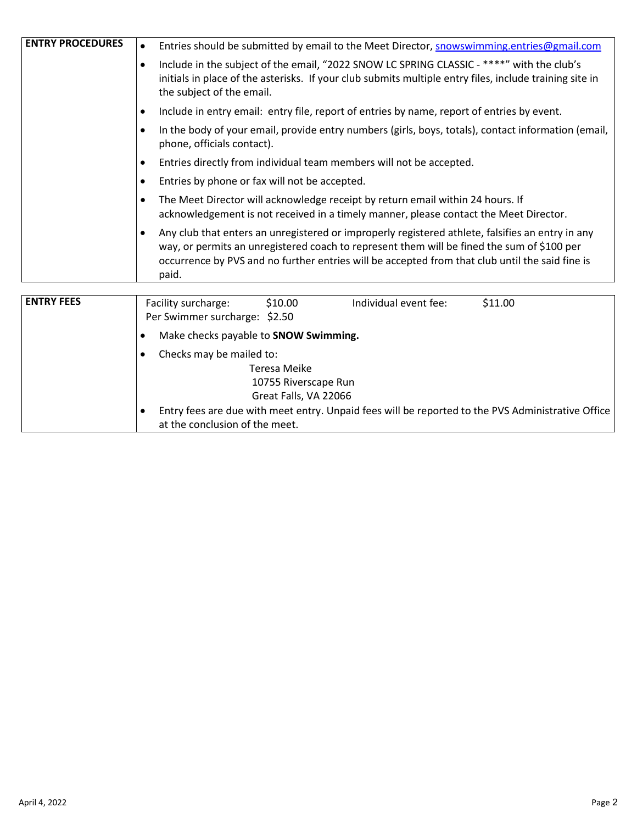| <b>ENTRY PROCEDURES</b><br>Entries should be submitted by email to the Meet Director, snowswimming.entries@gmail.com<br>$\bullet$                                                                                                              |                                                                                                                                                                                                                                                                                                                         |  |  |
|------------------------------------------------------------------------------------------------------------------------------------------------------------------------------------------------------------------------------------------------|-------------------------------------------------------------------------------------------------------------------------------------------------------------------------------------------------------------------------------------------------------------------------------------------------------------------------|--|--|
| Include in the subject of the email, "2022 SNOW LC SPRING CLASSIC - ****" with the club's<br>$\bullet$<br>initials in place of the asterisks. If your club submits multiple entry files, include training site in<br>the subject of the email. |                                                                                                                                                                                                                                                                                                                         |  |  |
|                                                                                                                                                                                                                                                | Include in entry email: entry file, report of entries by name, report of entries by event.<br>٠                                                                                                                                                                                                                         |  |  |
|                                                                                                                                                                                                                                                | In the body of your email, provide entry numbers (girls, boys, totals), contact information (email,<br>$\bullet$<br>phone, officials contact).                                                                                                                                                                          |  |  |
|                                                                                                                                                                                                                                                | Entries directly from individual team members will not be accepted.<br>$\bullet$                                                                                                                                                                                                                                        |  |  |
|                                                                                                                                                                                                                                                | Entries by phone or fax will not be accepted.<br>$\bullet$                                                                                                                                                                                                                                                              |  |  |
|                                                                                                                                                                                                                                                | The Meet Director will acknowledge receipt by return email within 24 hours. If<br>$\bullet$<br>acknowledgement is not received in a timely manner, please contact the Meet Director.                                                                                                                                    |  |  |
|                                                                                                                                                                                                                                                | Any club that enters an unregistered or improperly registered athlete, falsifies an entry in any<br>$\bullet$<br>way, or permits an unregistered coach to represent them will be fined the sum of \$100 per<br>occurrence by PVS and no further entries will be accepted from that club until the said fine is<br>paid. |  |  |
|                                                                                                                                                                                                                                                |                                                                                                                                                                                                                                                                                                                         |  |  |
| <b>ENTRY FEES</b>                                                                                                                                                                                                                              | \$11.00<br>Facility surcharge:<br>\$10.00<br>Individual event fee:<br>Per Swimmer surcharge: \$2.50                                                                                                                                                                                                                     |  |  |
|                                                                                                                                                                                                                                                | Make checks payable to SNOW Swimming.<br>٠                                                                                                                                                                                                                                                                              |  |  |
|                                                                                                                                                                                                                                                | Checks may be mailed to:<br>٠<br><b>Teresa Meike</b>                                                                                                                                                                                                                                                                    |  |  |

 10755 Riverscape Run Great Falls, VA 22066

• Entry fees are due with meet entry. Unpaid fees will be reported to the PVS Administrative Office at the conclusion of the meet.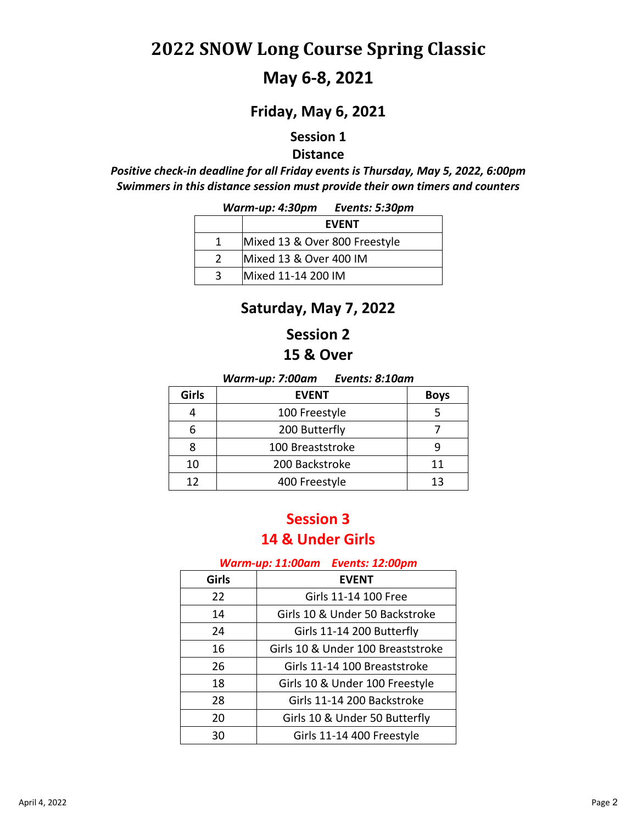## **2022 SNOW Long Course Spring Classic**

## **May 6-8, 2021**

#### **Friday, May 6, 2021**

#### **Session 1**

**Distance**

*Positive check-in deadline for all Friday events is Thursday, May 5, 2022, 6:00pm Swimmers in this distance session must provide their own timers and counters*

|               | Warm-up: 4:30pm               | Events: 5:30pm |
|---------------|-------------------------------|----------------|
|               |                               | <b>EVENT</b>   |
|               | Mixed 13 & Over 800 Freestyle |                |
| $\mathcal{L}$ | Mixed 13 & Over 400 IM        |                |
| ર             | Mixed 11-14 200 IM            |                |

#### **Saturday, May 7, 2022**

#### **Session 2 15 & Over**

*Warm-up: 7:00am Events: 8:10am* **Girls EVENT Boys**

|    | 100 Freestyle    |    |
|----|------------------|----|
|    | 200 Butterfly    |    |
|    | 100 Breaststroke |    |
| 10 | 200 Backstroke   |    |
| 1つ | 400 Freestyle    | 13 |

## **Session 3 14 & Under Girls**

#### *Warm-up: 11:00am Events: 12:00pm*

| <b>Girls</b> | <b>EVENT</b>                      |
|--------------|-----------------------------------|
| 22           | Girls 11-14 100 Free              |
| 14           | Girls 10 & Under 50 Backstroke    |
| 24           | Girls 11-14 200 Butterfly         |
| 16           | Girls 10 & Under 100 Breaststroke |
| 26           | Girls 11-14 100 Breaststroke      |
| 18           | Girls 10 & Under 100 Freestyle    |
| 28           | Girls 11-14 200 Backstroke        |
| 20           | Girls 10 & Under 50 Butterfly     |
| 30           | Girls 11-14 400 Freestyle         |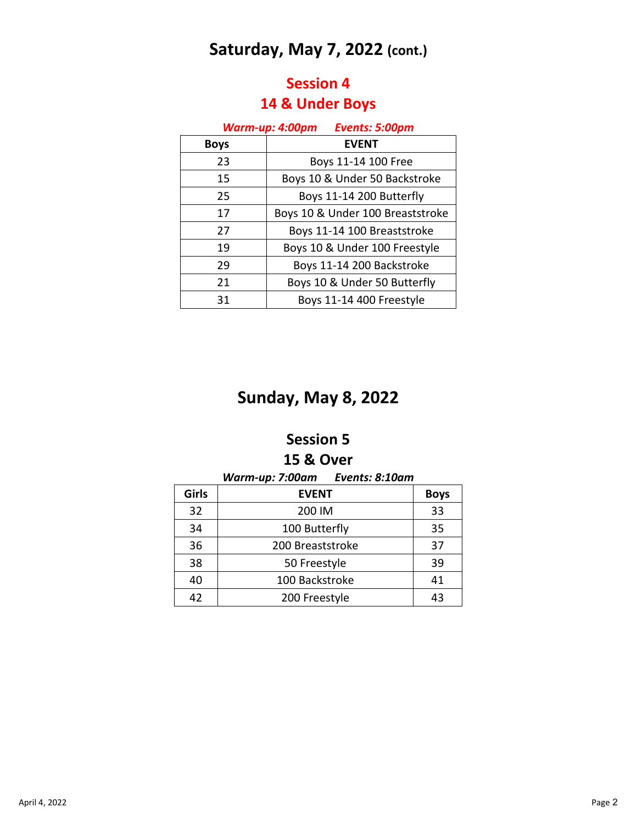## **Saturday, May 7, 2022 (cont.)**

## **Session 4 14 & Under Boys**

| Warm-up: 4:00pm<br>Events: 5:00pm |                                  |
|-----------------------------------|----------------------------------|
| <b>Boys</b>                       | <b>EVENT</b>                     |
| 23                                | Boys 11-14 100 Free              |
| 15                                | Boys 10 & Under 50 Backstroke    |
| 25                                | Boys 11-14 200 Butterfly         |
| 17                                | Boys 10 & Under 100 Breaststroke |
| 27                                | Boys 11-14 100 Breaststroke      |
| 19                                | Boys 10 & Under 100 Freestyle    |
| 29                                | Boys 11-14 200 Backstroke        |
| 21                                | Boys 10 & Under 50 Butterfly     |
| 31                                | Boys 11-14 400 Freestyle         |

## **Sunday, May 8, 2022**

#### **Session 5 15 & Over**

## *Warm-up: 7:00am Events: 8:10am*

|       | <u></u>          |             |
|-------|------------------|-------------|
| Girls | <b>EVENT</b>     | <b>Boys</b> |
| 32    | 200 IM           | 33          |
| 34    | 100 Butterfly    | 35          |
| 36    | 200 Breaststroke | 37          |
| 38    | 50 Freestyle     | 39          |
| 40    | 100 Backstroke   | 41          |
| 42    | 200 Freestyle    | 43          |